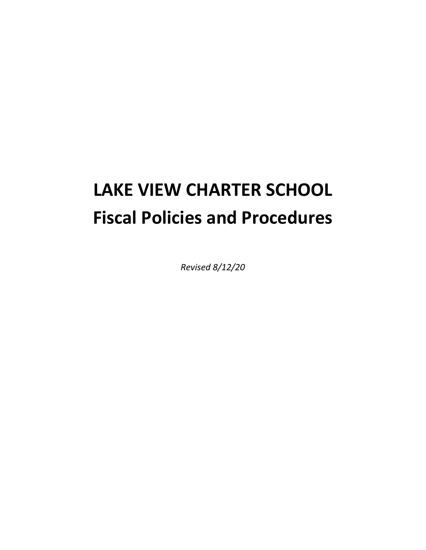# **LAKE VIEW CHARTER SCHOOL Fiscal Policies and Procedures**

*Revised 8/12/20*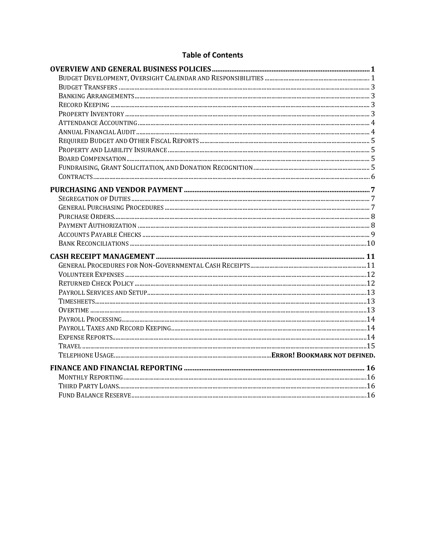## **Table of Contents**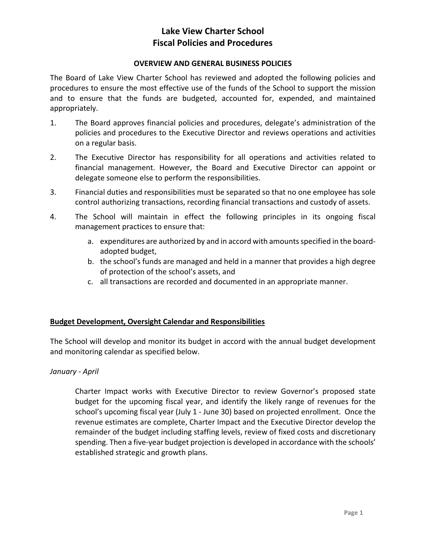## **OVERVIEW AND GENERAL BUSINESS POLICIES**

The Board of Lake View Charter School has reviewed and adopted the following policies and procedures to ensure the most effective use of the funds of the School to support the mission and to ensure that the funds are budgeted, accounted for, expended, and maintained appropriately.

- 1. The Board approves financial policies and procedures, delegate's administration of the policies and procedures to the Executive Director and reviews operations and activities on a regular basis.
- 2. The Executive Director has responsibility for all operations and activities related to financial management. However, the Board and Executive Director can appoint or delegate someone else to perform the responsibilities.
- 3. Financial duties and responsibilities must be separated so that no one employee has sole control authorizing transactions, recording financial transactions and custody of assets.
- 4. The School will maintain in effect the following principles in its ongoing fiscal management practices to ensure that:
	- a. expenditures are authorized by and in accord with amounts specified in the boardadopted budget,
	- b. the school's funds are managed and held in a manner that provides a high degree of protection of the school's assets, and
	- c. all transactions are recorded and documented in an appropriate manner.

## **Budget Development, Oversight Calendar and Responsibilities**

The School will develop and monitor its budget in accord with the annual budget development and monitoring calendar as specified below.

## *January - April*

Charter Impact works with Executive Director to review Governor's proposed state budget for the upcoming fiscal year, and identify the likely range of revenues for the school's upcoming fiscal year (July 1 - June 30) based on projected enrollment. Once the revenue estimates are complete, Charter Impact and the Executive Director develop the remainder of the budget including staffing levels, review of fixed costs and discretionary spending. Then a five-year budget projection is developed in accordance with the schools' established strategic and growth plans.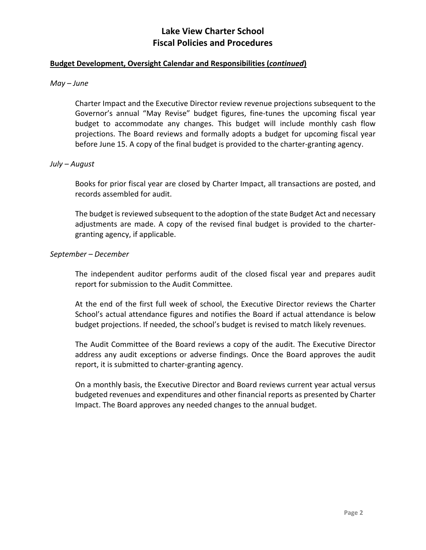#### **Budget Development, Oversight Calendar and Responsibilities (***continued***)**

#### *May – June*

Charter Impact and the Executive Director review revenue projections subsequent to the Governor's annual "May Revise" budget figures, fine-tunes the upcoming fiscal year budget to accommodate any changes. This budget will include monthly cash flow projections. The Board reviews and formally adopts a budget for upcoming fiscal year before June 15. A copy of the final budget is provided to the charter-granting agency.

#### *July – August*

Books for prior fiscal year are closed by Charter Impact, all transactions are posted, and records assembled for audit.

The budget is reviewed subsequent to the adoption of the state Budget Act and necessary adjustments are made. A copy of the revised final budget is provided to the chartergranting agency, if applicable.

#### *September – December*

The independent auditor performs audit of the closed fiscal year and prepares audit report for submission to the Audit Committee.

At the end of the first full week of school, the Executive Director reviews the Charter School's actual attendance figures and notifies the Board if actual attendance is below budget projections. If needed, the school's budget is revised to match likely revenues.

The Audit Committee of the Board reviews a copy of the audit. The Executive Director address any audit exceptions or adverse findings. Once the Board approves the audit report, it is submitted to charter-granting agency.

On a monthly basis, the Executive Director and Board reviews current year actual versus budgeted revenues and expenditures and other financial reports as presented by Charter Impact. The Board approves any needed changes to the annual budget.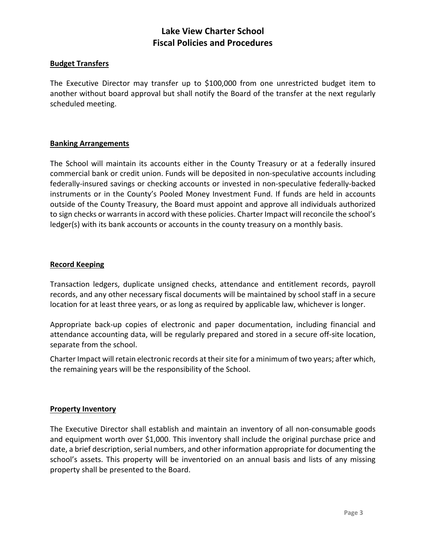#### **Budget Transfers**

The Executive Director may transfer up to \$100,000 from one unrestricted budget item to another without board approval but shall notify the Board of the transfer at the next regularly scheduled meeting.

#### **Banking Arrangements**

The School will maintain its accounts either in the County Treasury or at a federally insured commercial bank or credit union. Funds will be deposited in non-speculative accounts including federally-insured savings or checking accounts or invested in non-speculative federally-backed instruments or in the County's Pooled Money Investment Fund. If funds are held in accounts outside of the County Treasury, the Board must appoint and approve all individuals authorized to sign checks or warrants in accord with these policies. Charter Impact will reconcile the school's ledger(s) with its bank accounts or accounts in the county treasury on a monthly basis.

#### **Record Keeping**

Transaction ledgers, duplicate unsigned checks, attendance and entitlement records, payroll records, and any other necessary fiscal documents will be maintained by school staff in a secure location for at least three years, or as long as required by applicable law, whichever is longer.

Appropriate back-up copies of electronic and paper documentation, including financial and attendance accounting data, will be regularly prepared and stored in a secure off-site location, separate from the school.

Charter Impact will retain electronic records at their site for a minimum of two years; after which, the remaining years will be the responsibility of the School.

#### **Property Inventory**

The Executive Director shall establish and maintain an inventory of all non-consumable goods and equipment worth over \$1,000. This inventory shall include the original purchase price and date, a brief description, serial numbers, and other information appropriate for documenting the school's assets. This property will be inventoried on an annual basis and lists of any missing property shall be presented to the Board.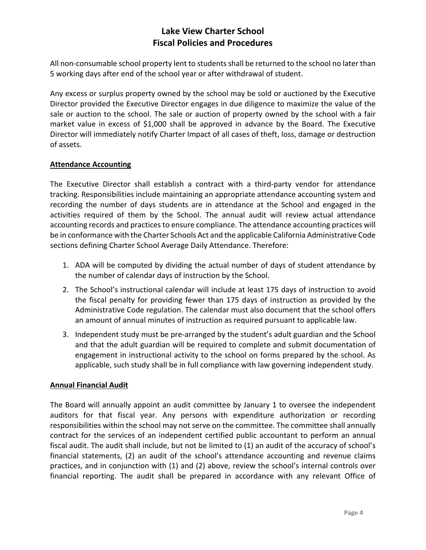All non-consumable school property lent to students shall be returned to the school no later than 5 working days after end of the school year or after withdrawal of student.

Any excess or surplus property owned by the school may be sold or auctioned by the Executive Director provided the Executive Director engages in due diligence to maximize the value of the sale or auction to the school. The sale or auction of property owned by the school with a fair market value in excess of \$1,000 shall be approved in advance by the Board. The Executive Director will immediately notify Charter Impact of all cases of theft, loss, damage or destruction of assets.

## **Attendance Accounting**

The Executive Director shall establish a contract with a third-party vendor for attendance tracking. Responsibilities include maintaining an appropriate attendance accounting system and recording the number of days students are in attendance at the School and engaged in the activities required of them by the School. The annual audit will review actual attendance accounting records and practices to ensure compliance. The attendance accounting practices will be in conformance with the Charter Schools Act and the applicable California Administrative Code sections defining Charter School Average Daily Attendance. Therefore:

- 1. ADA will be computed by dividing the actual number of days of student attendance by the number of calendar days of instruction by the School.
- 2. The School's instructional calendar will include at least 175 days of instruction to avoid the fiscal penalty for providing fewer than 175 days of instruction as provided by the Administrative Code regulation. The calendar must also document that the school offers an amount of annual minutes of instruction as required pursuant to applicable law.
- 3. Independent study must be pre-arranged by the student's adult guardian and the School and that the adult guardian will be required to complete and submit documentation of engagement in instructional activity to the school on forms prepared by the school. As applicable, such study shall be in full compliance with law governing independent study.

## **Annual Financial Audit**

The Board will annually appoint an audit committee by January 1 to oversee the independent auditors for that fiscal year. Any persons with expenditure authorization or recording responsibilities within the school may not serve on the committee. The committee shall annually contract for the services of an independent certified public accountant to perform an annual fiscal audit. The audit shall include, but not be limited to (1) an audit of the accuracy of school's financial statements, (2) an audit of the school's attendance accounting and revenue claims practices, and in conjunction with (1) and (2) above, review the school's internal controls over financial reporting. The audit shall be prepared in accordance with any relevant Office of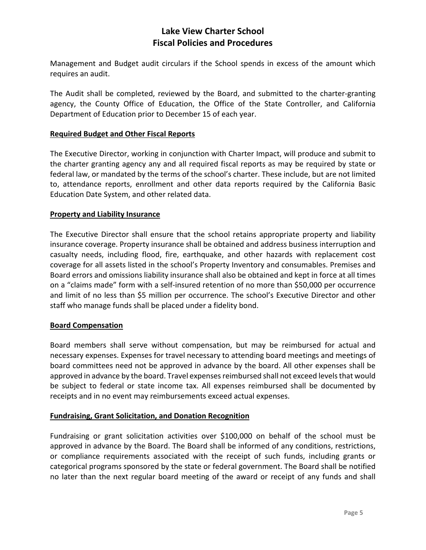Management and Budget audit circulars if the School spends in excess of the amount which requires an audit.

The Audit shall be completed, reviewed by the Board, and submitted to the charter-granting agency, the County Office of Education, the Office of the State Controller, and California Department of Education prior to December 15 of each year.

## **Required Budget and Other Fiscal Reports**

The Executive Director, working in conjunction with Charter Impact, will produce and submit to the charter granting agency any and all required fiscal reports as may be required by state or federal law, or mandated by the terms of the school's charter. These include, but are not limited to, attendance reports, enrollment and other data reports required by the California Basic Education Date System, and other related data.

## **Property and Liability Insurance**

The Executive Director shall ensure that the school retains appropriate property and liability insurance coverage. Property insurance shall be obtained and address business interruption and casualty needs, including flood, fire, earthquake, and other hazards with replacement cost coverage for all assets listed in the school's Property Inventory and consumables. Premises and Board errors and omissions liability insurance shall also be obtained and kept in force at all times on a "claims made" form with a self-insured retention of no more than \$50,000 per occurrence and limit of no less than \$5 million per occurrence. The school's Executive Director and other staff who manage funds shall be placed under a fidelity bond.

## **Board Compensation**

Board members shall serve without compensation, but may be reimbursed for actual and necessary expenses. Expenses for travel necessary to attending board meetings and meetings of board committees need not be approved in advance by the board. All other expenses shall be approved in advance by the board. Travel expenses reimbursed shall not exceed levels that would be subject to federal or state income tax. All expenses reimbursed shall be documented by receipts and in no event may reimbursements exceed actual expenses.

## **Fundraising, Grant Solicitation, and Donation Recognition**

Fundraising or grant solicitation activities over \$100,000 on behalf of the school must be approved in advance by the Board. The Board shall be informed of any conditions, restrictions, or compliance requirements associated with the receipt of such funds, including grants or categorical programs sponsored by the state or federal government. The Board shall be notified no later than the next regular board meeting of the award or receipt of any funds and shall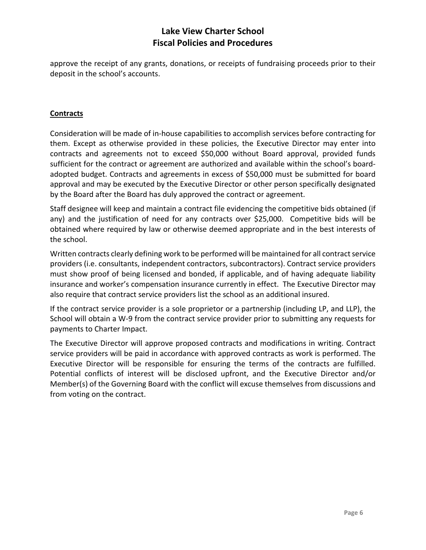approve the receipt of any grants, donations, or receipts of fundraising proceeds prior to their deposit in the school's accounts.

## **Contracts**

Consideration will be made of in-house capabilities to accomplish services before contracting for them. Except as otherwise provided in these policies, the Executive Director may enter into contracts and agreements not to exceed \$50,000 without Board approval, provided funds sufficient for the contract or agreement are authorized and available within the school's boardadopted budget. Contracts and agreements in excess of \$50,000 must be submitted for board approval and may be executed by the Executive Director or other person specifically designated by the Board after the Board has duly approved the contract or agreement.

Staff designee will keep and maintain a contract file evidencing the competitive bids obtained (if any) and the justification of need for any contracts over \$25,000. Competitive bids will be obtained where required by law or otherwise deemed appropriate and in the best interests of the school.

Written contracts clearly defining work to be performed will be maintained for all contract service providers (i.e. consultants, independent contractors, subcontractors). Contract service providers must show proof of being licensed and bonded, if applicable, and of having adequate liability insurance and worker's compensation insurance currently in effect. The Executive Director may also require that contract service providers list the school as an additional insured.

If the contract service provider is a sole proprietor or a partnership (including LP, and LLP), the School will obtain a W-9 from the contract service provider prior to submitting any requests for payments to Charter Impact.

The Executive Director will approve proposed contracts and modifications in writing. Contract service providers will be paid in accordance with approved contracts as work is performed. The Executive Director will be responsible for ensuring the terms of the contracts are fulfilled. Potential conflicts of interest will be disclosed upfront, and the Executive Director and/or Member(s) of the Governing Board with the conflict will excuse themselves from discussions and from voting on the contract.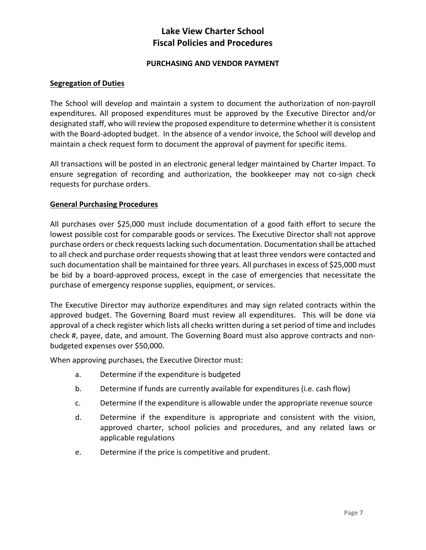## **PURCHASING AND VENDOR PAYMENT**

#### **Segregation of Duties**

The School will develop and maintain a system to document the authorization of non-payroll expenditures. All proposed expenditures must be approved by the Executive Director and/or designated staff, who will review the proposed expenditure to determine whether it is consistent with the Board-adopted budget. In the absence of a vendor invoice, the School will develop and maintain a check request form to document the approval of payment for specific items.

All transactions will be posted in an electronic general ledger maintained by Charter Impact. To ensure segregation of recording and authorization, the bookkeeper may not co-sign check requests for purchase orders.

## **General Purchasing Procedures**

All purchases over \$25,000 must include documentation of a good faith effort to secure the lowest possible cost for comparable goods or services. The Executive Director shall not approve purchase orders or check requests lacking such documentation. Documentation shall be attached to all check and purchase order requests showing that at least three vendors were contacted and such documentation shall be maintained for three years. All purchases in excess of \$25,000 must be bid by a board-approved process, except in the case of emergencies that necessitate the purchase of emergency response supplies, equipment, or services.

The Executive Director may authorize expenditures and may sign related contracts within the approved budget. The Governing Board must review all expenditures. This will be done via approval of a check register which lists all checks written during a set period of time and includes check #, payee, date, and amount. The Governing Board must also approve contracts and nonbudgeted expenses over \$50,000.

When approving purchases, the Executive Director must:

- a. Determine if the expenditure is budgeted
- b. Determine if funds are currently available for expenditures (i.e. cash flow)
- c. Determine if the expenditure is allowable under the appropriate revenue source
- d. Determine if the expenditure is appropriate and consistent with the vision, approved charter, school policies and procedures, and any related laws or applicable regulations
- e. Determine if the price is competitive and prudent.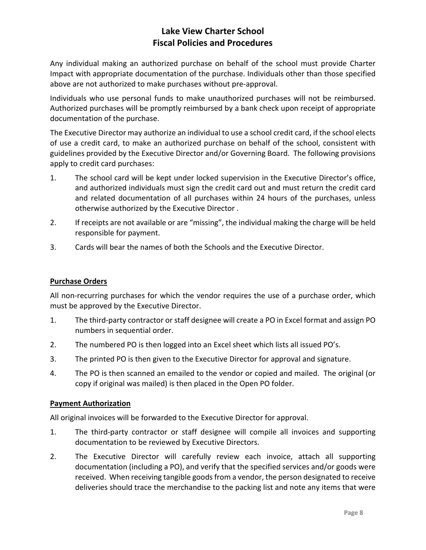Any individual making an authorized purchase on behalf of the school must provide Charter Impact with appropriate documentation of the purchase. Individuals other than those specified above are not authorized to make purchases without pre-approval.

Individuals who use personal funds to make unauthorized purchases will not be reimbursed. Authorized purchases will be promptly reimbursed by a bank check upon receipt of appropriate documentation of the purchase.

The Executive Director may authorize an individual to use a school credit card, if the school elects of use a credit card, to make an authorized purchase on behalf of the school, consistent with guidelines provided by the Executive Director and/or Governing Board. The following provisions apply to credit card purchases:

- 1. The school card will be kept under locked supervision in the Executive Director's office, and authorized individuals must sign the credit card out and must return the credit card and related documentation of all purchases within 24 hours of the purchases, unless otherwise authorized by the Executive Director .
- 2. If receipts are not available or are "missing", the individual making the charge will be held responsible for payment.
- 3. Cards will bear the names of both the Schools and the Executive Director.

## **Purchase Orders**

All non-recurring purchases for which the vendor requires the use of a purchase order, which must be approved by the Executive Director.

- 1. The third-party contractor or staff designee will create a PO in Excel format and assign PO numbers in sequential order.
- 2. The numbered PO is then logged into an Excel sheet which lists all issued PO's.
- 3. The printed PO is then given to the Executive Director for approval and signature.
- 4. The PO is then scanned an emailed to the vendor or copied and mailed. The original (or copy if original was mailed) is then placed in the Open PO folder.

## **Payment Authorization**

All original invoices will be forwarded to the Executive Director for approval.

- 1. The third-party contractor or staff designee will compile all invoices and supporting documentation to be reviewed by Executive Directors.
- 2. The Executive Director will carefully review each invoice, attach all supporting documentation (including a PO), and verify that the specified services and/or goods were received. When receiving tangible goods from a vendor, the person designated to receive deliveries should trace the merchandise to the packing list and note any items that were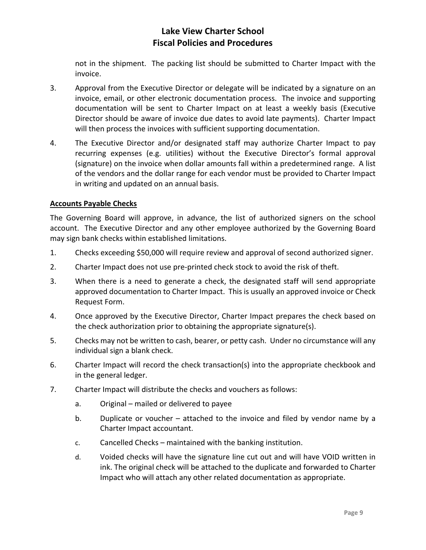not in the shipment. The packing list should be submitted to Charter Impact with the invoice.

- 3. Approval from the Executive Director or delegate will be indicated by a signature on an invoice, email, or other electronic documentation process. The invoice and supporting documentation will be sent to Charter Impact on at least a weekly basis (Executive Director should be aware of invoice due dates to avoid late payments). Charter Impact will then process the invoices with sufficient supporting documentation.
- 4. The Executive Director and/or designated staff may authorize Charter Impact to pay recurring expenses (e.g. utilities) without the Executive Director's formal approval (signature) on the invoice when dollar amounts fall within a predetermined range. A list of the vendors and the dollar range for each vendor must be provided to Charter Impact in writing and updated on an annual basis.

## **Accounts Payable Checks**

The Governing Board will approve, in advance, the list of authorized signers on the school account. The Executive Director and any other employee authorized by the Governing Board may sign bank checks within established limitations.

- 1. Checks exceeding \$50,000 will require review and approval of second authorized signer.
- 2. Charter Impact does not use pre-printed check stock to avoid the risk of theft.
- 3. When there is a need to generate a check, the designated staff will send appropriate approved documentation to Charter Impact. This is usually an approved invoice or Check Request Form.
- 4. Once approved by the Executive Director, Charter Impact prepares the check based on the check authorization prior to obtaining the appropriate signature(s).
- 5. Checks may not be written to cash, bearer, or petty cash. Under no circumstance will any individual sign a blank check.
- 6. Charter Impact will record the check transaction(s) into the appropriate checkbook and in the general ledger.
- 7. Charter Impact will distribute the checks and vouchers as follows:
	- a. Original mailed or delivered to payee
	- b. Duplicate or voucher attached to the invoice and filed by vendor name by a Charter Impact accountant.
	- c. Cancelled Checks maintained with the banking institution.
	- d. Voided checks will have the signature line cut out and will have VOID written in ink. The original check will be attached to the duplicate and forwarded to Charter Impact who will attach any other related documentation as appropriate.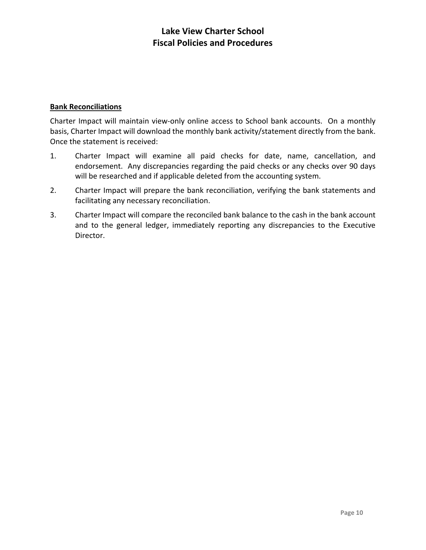## **Bank Reconciliations**

Charter Impact will maintain view-only online access to School bank accounts. On a monthly basis, Charter Impact will download the monthly bank activity/statement directly from the bank. Once the statement is received:

- 1. Charter Impact will examine all paid checks for date, name, cancellation, and endorsement. Any discrepancies regarding the paid checks or any checks over 90 days will be researched and if applicable deleted from the accounting system.
- 2. Charter Impact will prepare the bank reconciliation, verifying the bank statements and facilitating any necessary reconciliation.
- 3. Charter Impact will compare the reconciled bank balance to the cash in the bank account and to the general ledger, immediately reporting any discrepancies to the Executive Director.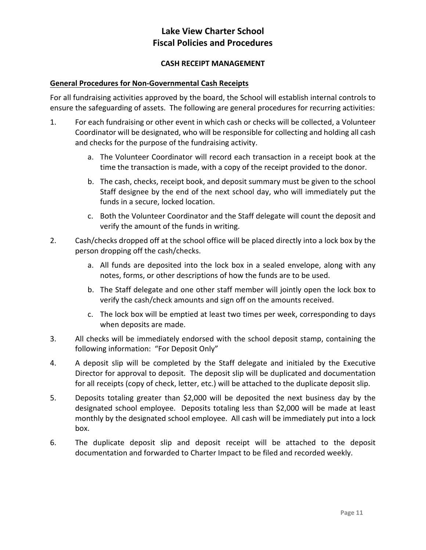## **CASH RECEIPT MANAGEMENT**

#### **General Procedures for Non-Governmental Cash Receipts**

For all fundraising activities approved by the board, the School will establish internal controls to ensure the safeguarding of assets. The following are general procedures for recurring activities:

- 1. For each fundraising or other event in which cash or checks will be collected, a Volunteer Coordinator will be designated, who will be responsible for collecting and holding all cash and checks for the purpose of the fundraising activity.
	- a. The Volunteer Coordinator will record each transaction in a receipt book at the time the transaction is made, with a copy of the receipt provided to the donor.
	- b. The cash, checks, receipt book, and deposit summary must be given to the school Staff designee by the end of the next school day, who will immediately put the funds in a secure, locked location.
	- c. Both the Volunteer Coordinator and the Staff delegate will count the deposit and verify the amount of the funds in writing.
- 2. Cash/checks dropped off at the school office will be placed directly into a lock box by the person dropping off the cash/checks.
	- a. All funds are deposited into the lock box in a sealed envelope, along with any notes, forms, or other descriptions of how the funds are to be used.
	- b. The Staff delegate and one other staff member will jointly open the lock box to verify the cash/check amounts and sign off on the amounts received.
	- c. The lock box will be emptied at least two times per week, corresponding to days when deposits are made.
- 3. All checks will be immediately endorsed with the school deposit stamp, containing the following information: "For Deposit Only"
- 4. A deposit slip will be completed by the Staff delegate and initialed by the Executive Director for approval to deposit. The deposit slip will be duplicated and documentation for all receipts (copy of check, letter, etc.) will be attached to the duplicate deposit slip.
- 5. Deposits totaling greater than \$2,000 will be deposited the next business day by the designated school employee. Deposits totaling less than \$2,000 will be made at least monthly by the designated school employee. All cash will be immediately put into a lock box.
- 6. The duplicate deposit slip and deposit receipt will be attached to the deposit documentation and forwarded to Charter Impact to be filed and recorded weekly.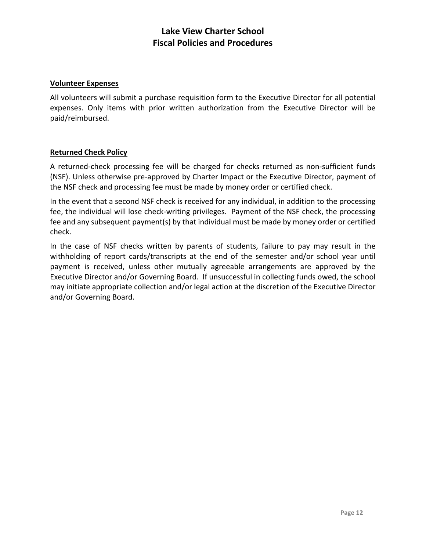#### **Volunteer Expenses**

All volunteers will submit a purchase requisition form to the Executive Director for all potential expenses. Only items with prior written authorization from the Executive Director will be paid/reimbursed.

## **Returned Check Policy**

A returned-check processing fee will be charged for checks returned as non-sufficient funds (NSF). Unless otherwise pre-approved by Charter Impact or the Executive Director, payment of the NSF check and processing fee must be made by money order or certified check.

In the event that a second NSF check is received for any individual, in addition to the processing fee, the individual will lose check-writing privileges. Payment of the NSF check, the processing fee and any subsequent payment(s) by that individual must be made by money order or certified check.

In the case of NSF checks written by parents of students, failure to pay may result in the withholding of report cards/transcripts at the end of the semester and/or school year until payment is received, unless other mutually agreeable arrangements are approved by the Executive Director and/or Governing Board. If unsuccessful in collecting funds owed, the school may initiate appropriate collection and/or legal action at the discretion of the Executive Director and/or Governing Board.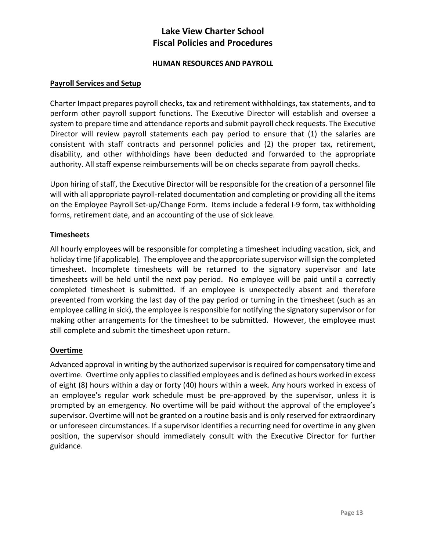## **HUMAN RESOURCES AND PAYROLL**

#### **Payroll Services and Setup**

Charter Impact prepares payroll checks, tax and retirement withholdings, tax statements, and to perform other payroll support functions. The Executive Director will establish and oversee a system to prepare time and attendance reports and submit payroll check requests. The Executive Director will review payroll statements each pay period to ensure that (1) the salaries are consistent with staff contracts and personnel policies and (2) the proper tax, retirement, disability, and other withholdings have been deducted and forwarded to the appropriate authority. All staff expense reimbursements will be on checks separate from payroll checks.

Upon hiring of staff, the Executive Director will be responsible for the creation of a personnel file will with all appropriate payroll-related documentation and completing or providing all the items on the Employee Payroll Set-up/Change Form. Items include a federal I-9 form, tax withholding forms, retirement date, and an accounting of the use of sick leave.

## **Timesheets**

All hourly employees will be responsible for completing a timesheet including vacation, sick, and holiday time (if applicable). The employee and the appropriate supervisor will sign the completed timesheet. Incomplete timesheets will be returned to the signatory supervisor and late timesheets will be held until the next pay period. No employee will be paid until a correctly completed timesheet is submitted. If an employee is unexpectedly absent and therefore prevented from working the last day of the pay period or turning in the timesheet (such as an employee calling in sick), the employee is responsible for notifying the signatory supervisor or for making other arrangements for the timesheet to be submitted. However, the employee must still complete and submit the timesheet upon return.

#### **Overtime**

Advanced approval in writing by the authorized supervisor is required for compensatory time and overtime. Overtime only applies to classified employees and is defined as hours worked in excess of eight (8) hours within a day or forty (40) hours within a week. Any hours worked in excess of an employee's regular work schedule must be pre-approved by the supervisor, unless it is prompted by an emergency. No overtime will be paid without the approval of the employee's supervisor. Overtime will not be granted on a routine basis and is only reserved for extraordinary or unforeseen circumstances. If a supervisor identifies a recurring need for overtime in any given position, the supervisor should immediately consult with the Executive Director for further guidance.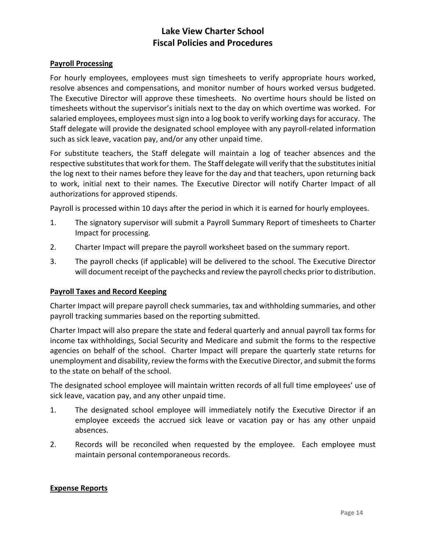#### **Payroll Processing**

For hourly employees, employees must sign timesheets to verify appropriate hours worked, resolve absences and compensations, and monitor number of hours worked versus budgeted. The Executive Director will approve these timesheets. No overtime hours should be listed on timesheets without the supervisor's initials next to the day on which overtime was worked. For salaried employees, employees must sign into a log book to verify working days for accuracy. The Staff delegate will provide the designated school employee with any payroll-related information such as sick leave, vacation pay, and/or any other unpaid time.

For substitute teachers, the Staff delegate will maintain a log of teacher absences and the respective substitutes that work for them. The Staff delegate will verify that the substitutes initial the log next to their names before they leave for the day and that teachers, upon returning back to work, initial next to their names. The Executive Director will notify Charter Impact of all authorizations for approved stipends.

Payroll is processed within 10 days after the period in which it is earned for hourly employees.

- 1. The signatory supervisor will submit a Payroll Summary Report of timesheets to Charter Impact for processing.
- 2. Charter Impact will prepare the payroll worksheet based on the summary report.
- 3. The payroll checks (if applicable) will be delivered to the school. The Executive Director will document receipt of the paychecks and review the payroll checks prior to distribution.

#### **Payroll Taxes and Record Keeping**

Charter Impact will prepare payroll check summaries, tax and withholding summaries, and other payroll tracking summaries based on the reporting submitted.

Charter Impact will also prepare the state and federal quarterly and annual payroll tax forms for income tax withholdings, Social Security and Medicare and submit the forms to the respective agencies on behalf of the school. Charter Impact will prepare the quarterly state returns for unemployment and disability, review the forms with the Executive Director, and submit the forms to the state on behalf of the school.

The designated school employee will maintain written records of all full time employees' use of sick leave, vacation pay, and any other unpaid time.

- 1. The designated school employee will immediately notify the Executive Director if an employee exceeds the accrued sick leave or vacation pay or has any other unpaid absences.
- 2. Records will be reconciled when requested by the employee. Each employee must maintain personal contemporaneous records.

#### **Expense Reports**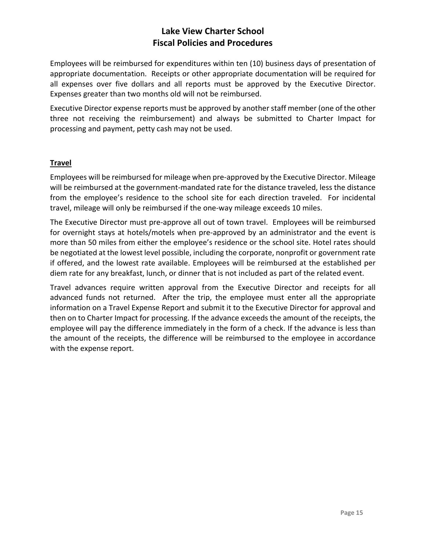Employees will be reimbursed for expenditures within ten (10) business days of presentation of appropriate documentation. Receipts or other appropriate documentation will be required for all expenses over five dollars and all reports must be approved by the Executive Director. Expenses greater than two months old will not be reimbursed.

Executive Director expense reports must be approved by another staff member (one of the other three not receiving the reimbursement) and always be submitted to Charter Impact for processing and payment, petty cash may not be used.

## **Travel**

Employees will be reimbursed for mileage when pre-approved by the Executive Director. Mileage will be reimbursed at the government-mandated rate for the distance traveled, less the distance from the employee's residence to the school site for each direction traveled. For incidental travel, mileage will only be reimbursed if the one-way mileage exceeds 10 miles.

The Executive Director must pre-approve all out of town travel. Employees will be reimbursed for overnight stays at hotels/motels when pre-approved by an administrator and the event is more than 50 miles from either the employee's residence or the school site. Hotel rates should be negotiated at the lowest level possible, including the corporate, nonprofit or government rate if offered, and the lowest rate available. Employees will be reimbursed at the established per diem rate for any breakfast, lunch, or dinner that is not included as part of the related event.

Travel advances require written approval from the Executive Director and receipts for all advanced funds not returned. After the trip, the employee must enter all the appropriate information on a Travel Expense Report and submit it to the Executive Director for approval and then on to Charter Impact for processing. If the advance exceeds the amount of the receipts, the employee will pay the difference immediately in the form of a check. If the advance is less than the amount of the receipts, the difference will be reimbursed to the employee in accordance with the expense report.